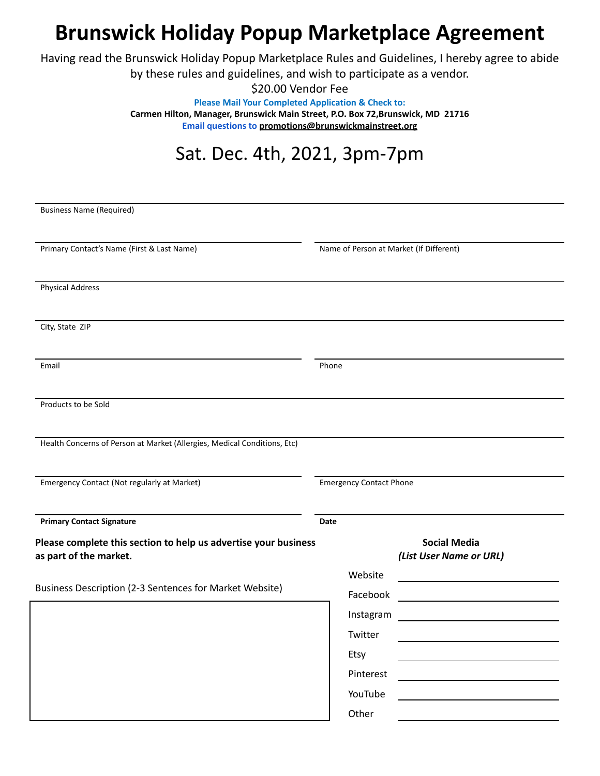## **Brunswick Holiday Popup Marketplace Agreement**

Having read the Brunswick Holiday Popup Marketplace Rules and Guidelines, I hereby agree to abide by these rules and guidelines, and wish to participate as a vendor.

> \$20.00 Vendor Fee **Please Mail Your Completed Application & Check to: Carmen Hilton, Manager, Brunswick Main Street, P.O. Box 72,Brunswick, MD 21716 Email questions to [promotions@brunswickmainstreet.org](mailto:promotions@brunswickmainstreet.org)**

## Sat. Dec. 4th, 2021, 3pm-7pm

| <b>Business Name (Required)</b>                                                           |                                         |                                                |
|-------------------------------------------------------------------------------------------|-----------------------------------------|------------------------------------------------|
|                                                                                           |                                         |                                                |
| Primary Contact's Name (First & Last Name)                                                | Name of Person at Market (If Different) |                                                |
|                                                                                           |                                         |                                                |
| <b>Physical Address</b>                                                                   |                                         |                                                |
| City, State ZIP                                                                           |                                         |                                                |
| Email                                                                                     | Phone                                   |                                                |
|                                                                                           |                                         |                                                |
| Products to be Sold                                                                       |                                         |                                                |
| Health Concerns of Person at Market (Allergies, Medical Conditions, Etc)                  |                                         |                                                |
| Emergency Contact (Not regularly at Market)                                               | <b>Emergency Contact Phone</b>          |                                                |
| <b>Primary Contact Signature</b>                                                          | Date                                    |                                                |
| Please complete this section to help us advertise your business<br>as part of the market. |                                         | <b>Social Media</b><br>(List User Name or URL) |
| Business Description (2-3 Sentences for Market Website)                                   | Website                                 |                                                |
|                                                                                           | Facebook                                |                                                |
|                                                                                           | Instagram                               |                                                |
|                                                                                           | Twitter                                 |                                                |
|                                                                                           | Etsy                                    |                                                |
|                                                                                           | Pinterest                               |                                                |
|                                                                                           | YouTube                                 |                                                |
|                                                                                           | Other                                   |                                                |